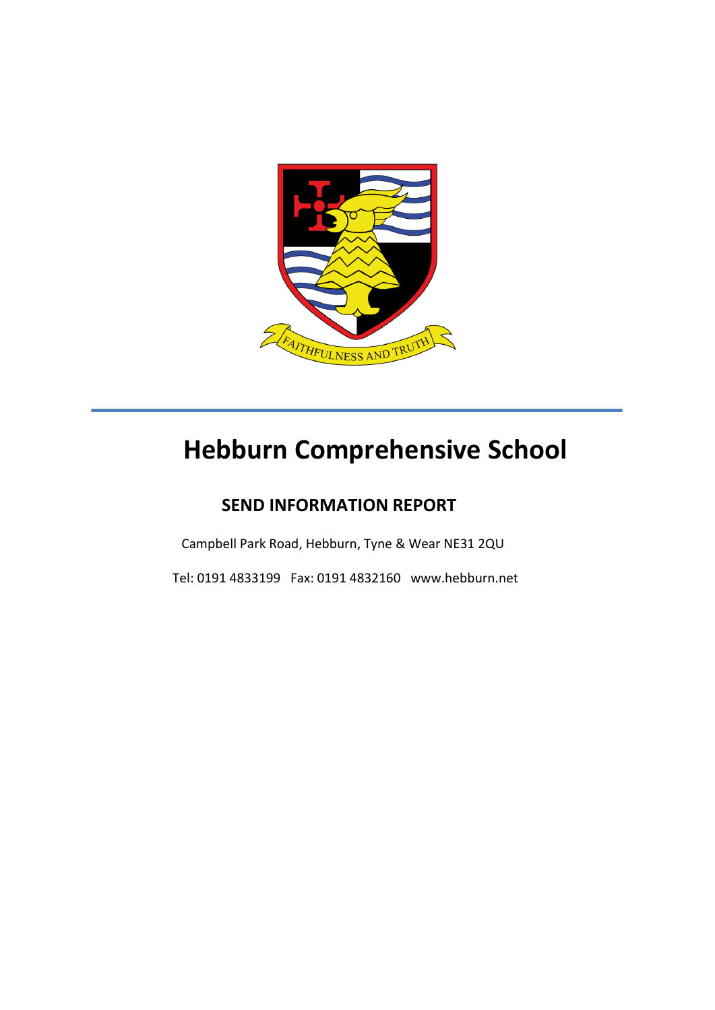

# **Hebburn Comprehensive School**

## **SEND INFORMATION REPORT**

Campbell Park Road, Hebburn, Tyne & Wear NE31 2QU

Tel: 0191 4833199 Fax: 0191 4832160 www.hebburn.net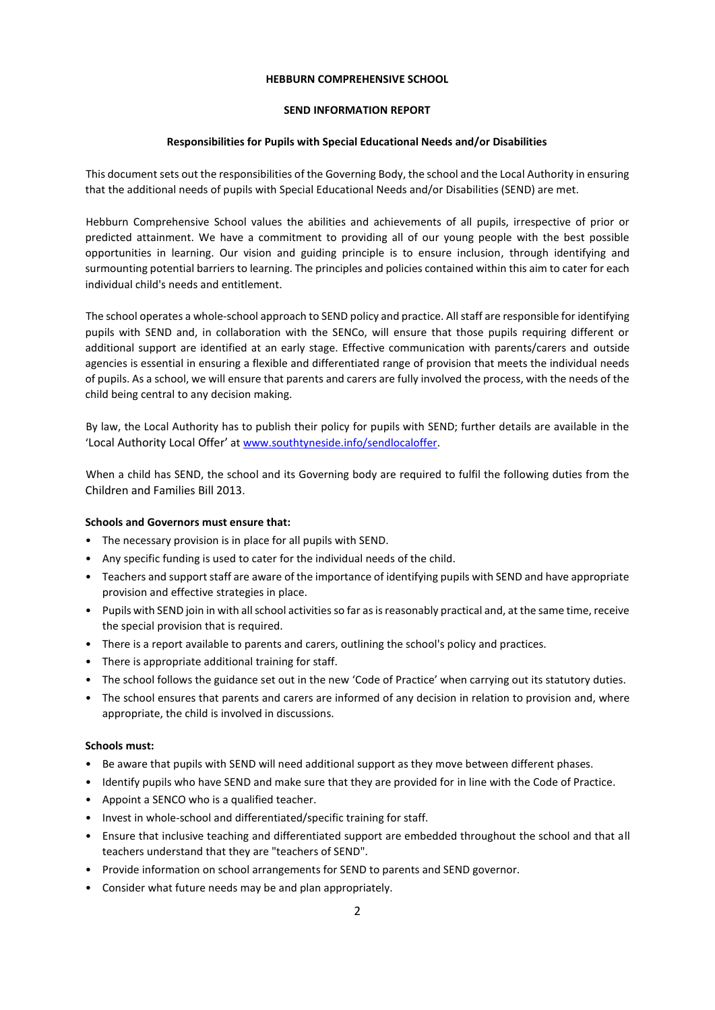#### **HEBBURN COMPREHENSIVE SCHOOL**

#### **SEND INFORMATION REPORT**

#### **Responsibilities for Pupils with Special Educational Needs and/or Disabilities**

This document sets out the responsibilities of the Governing Body, the school and the Local Authority in ensuring that the additional needs of pupils with Special Educational Needs and/or Disabilities (SEND) are met.

Hebburn Comprehensive School values the abilities and achievements of all pupils, irrespective of prior or predicted attainment. We have a commitment to providing all of our young people with the best possible opportunities in learning. Our vision and guiding principle is to ensure inclusion, through identifying and surmounting potential barriers to learning. The principles and policies contained within this aim to cater for each individual child's needs and entitlement.

The school operates a whole-school approach to SEND policy and practice. All staff are responsible for identifying pupils with SEND and, in collaboration with the SENCo, will ensure that those pupils requiring different or additional support are identified at an early stage. Effective communication with parents/carers and outside agencies is essential in ensuring a flexible and differentiated range of provision that meets the individual needs of pupils. As a school, we will ensure that parents and carers are fully involved the process, with the needs of the child being central to any decision making.

By law, the Local Authority has to publish their policy for pupils with SEND; further details are available in the 'Local Authority Local Offer' at www.southtyneside.info/sendlocaloffer.

When a child has SEND, the school and its Governing body are required to fulfil the following duties from the Children and Families Bill 2013.

#### **Schools and Governors must ensure that:**

- The necessary provision is in place for all pupils with SEND.
- Any specific funding is used to cater for the individual needs of the child.
- Teachers and support staff are aware of the importance of identifying pupils with SEND and have appropriate provision and effective strategies in place.
- Pupils with SEND join in with all school activities so far as is reasonably practical and, at the same time, receive the special provision that is required.
- There is a report available to parents and carers, outlining the school's policy and practices.
- There is appropriate additional training for staff.
- The school follows the guidance set out in the new 'Code of Practice' when carrying out its statutory duties.
- The school ensures that parents and carers are informed of any decision in relation to provision and, where appropriate, the child is involved in discussions.

#### **Schools must:**

- Be aware that pupils with SEND will need additional support as they move between different phases.
- Identify pupils who have SEND and make sure that they are provided for in line with the Code of Practice.
- Appoint a SENCO who is a qualified teacher.
- Invest in whole-school and differentiated/specific training for staff.
- Ensure that inclusive teaching and differentiated support are embedded throughout the school and that all teachers understand that they are "teachers of SEND".
- Provide information on school arrangements for SEND to parents and SEND governor.
- Consider what future needs may be and plan appropriately.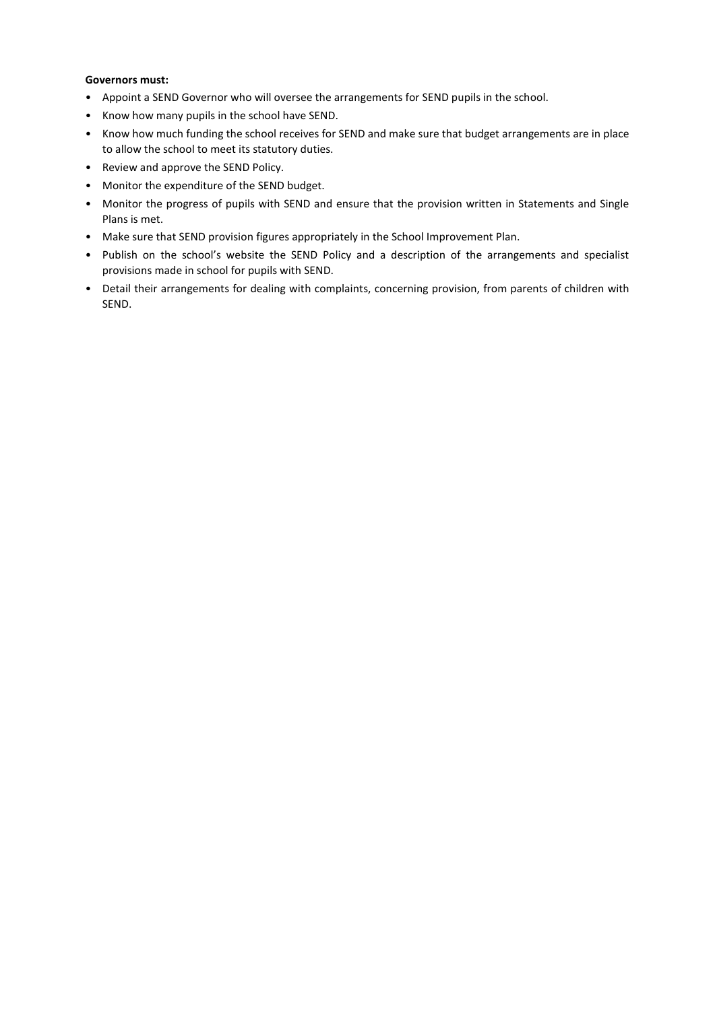#### **Governors must:**

- Appoint a SEND Governor who will oversee the arrangements for SEND pupils in the school.
- Know how many pupils in the school have SEND.
- Know how much funding the school receives for SEND and make sure that budget arrangements are in place to allow the school to meet its statutory duties.
- Review and approve the SEND Policy.
- Monitor the expenditure of the SEND budget.
- Monitor the progress of pupils with SEND and ensure that the provision written in Statements and Single Plans is met.
- Make sure that SEND provision figures appropriately in the School Improvement Plan.
- Publish on the school's website the SEND Policy and a description of the arrangements and specialist provisions made in school for pupils with SEND.
- Detail their arrangements for dealing with complaints, concerning provision, from parents of children with SEND.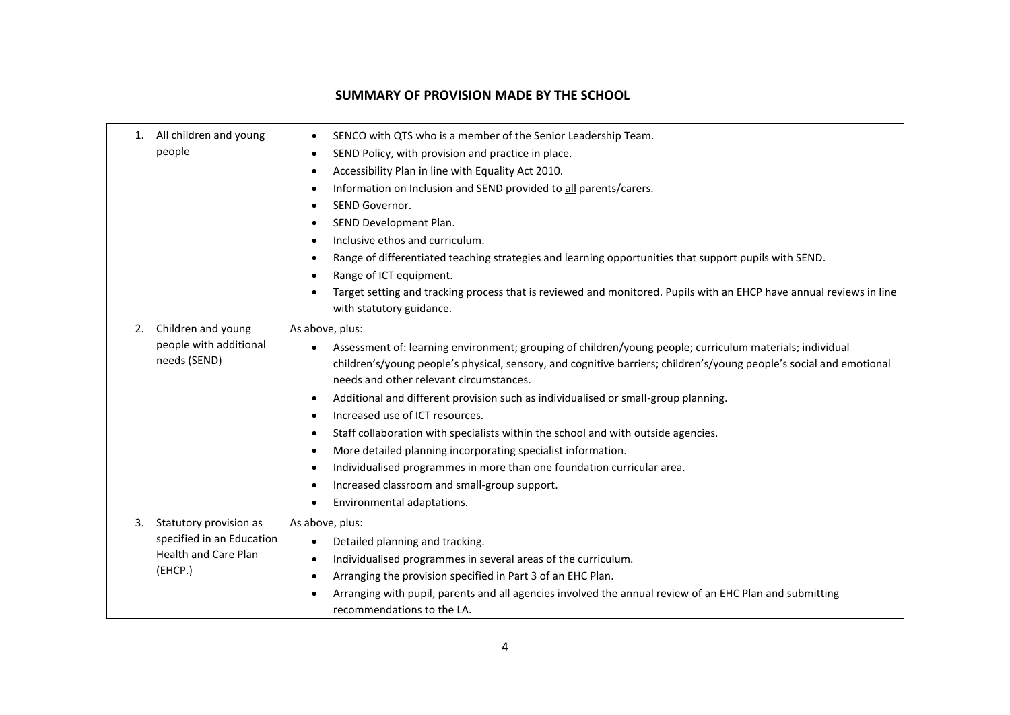### **SUMMARY OF PROVISION MADE BY THE SCHOOL**

| All children and young<br>1.<br>people                                 | ٠<br>٠<br>٠<br>٠<br>$\bullet$                      | SENCO with QTS who is a member of the Senior Leadership Team.<br>SEND Policy, with provision and practice in place.<br>Accessibility Plan in line with Equality Act 2010.<br>Information on Inclusion and SEND provided to all parents/carers.<br>SEND Governor.<br>SEND Development Plan.<br>Inclusive ethos and curriculum.<br>Range of differentiated teaching strategies and learning opportunities that support pupils with SEND.<br>Range of ICT equipment.<br>Target setting and tracking process that is reviewed and monitored. Pupils with an EHCP have annual reviews in line<br>with statutory guidance.                                                                                                                |
|------------------------------------------------------------------------|----------------------------------------------------|-------------------------------------------------------------------------------------------------------------------------------------------------------------------------------------------------------------------------------------------------------------------------------------------------------------------------------------------------------------------------------------------------------------------------------------------------------------------------------------------------------------------------------------------------------------------------------------------------------------------------------------------------------------------------------------------------------------------------------------|
| Children and young<br>2.<br>people with additional<br>needs (SEND)     | $\bullet$<br>$\bullet$<br>٠<br>٠<br>$\bullet$<br>٠ | As above, plus:<br>Assessment of: learning environment; grouping of children/young people; curriculum materials; individual<br>children's/young people's physical, sensory, and cognitive barriers; children's/young people's social and emotional<br>needs and other relevant circumstances.<br>Additional and different provision such as individualised or small-group planning.<br>Increased use of ICT resources.<br>Staff collaboration with specialists within the school and with outside agencies.<br>More detailed planning incorporating specialist information.<br>Individualised programmes in more than one foundation curricular area.<br>Increased classroom and small-group support.<br>Environmental adaptations. |
| Statutory provision as<br>3.<br><b>Health and Care Plan</b><br>(EHCP.) | specified in an Education<br>٠<br>$\bullet$<br>٠   | As above, plus:<br>Detailed planning and tracking.<br>Individualised programmes in several areas of the curriculum.<br>Arranging the provision specified in Part 3 of an EHC Plan.<br>Arranging with pupil, parents and all agencies involved the annual review of an EHC Plan and submitting<br>recommendations to the LA.                                                                                                                                                                                                                                                                                                                                                                                                         |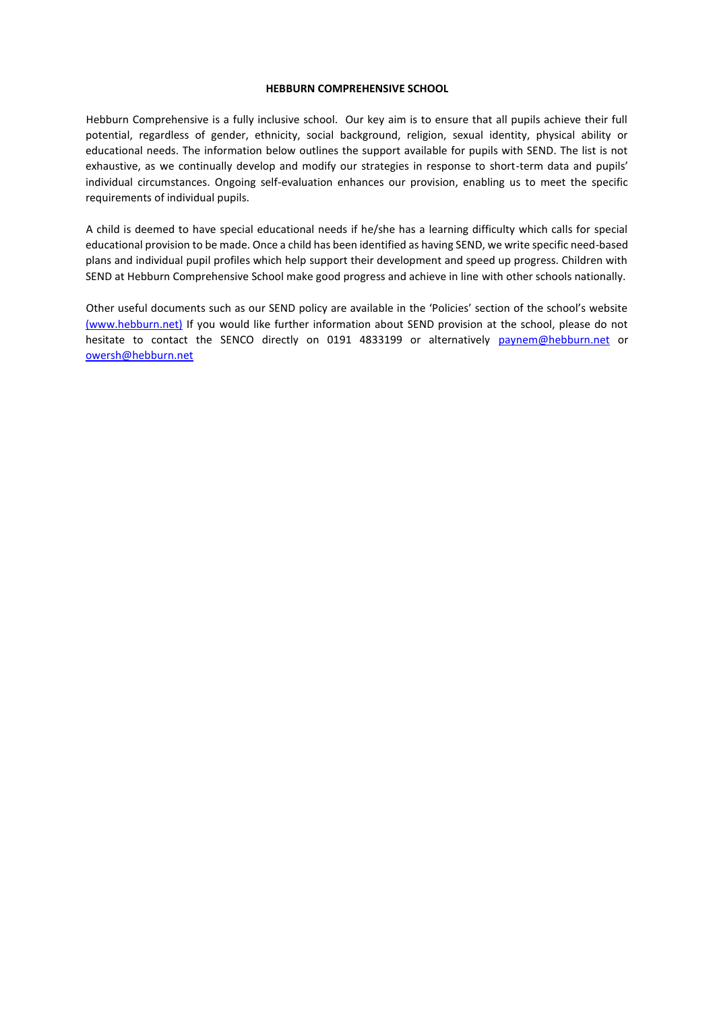#### **HEBBURN COMPREHENSIVE SCHOOL**

Hebburn Comprehensive is a fully inclusive school. Our key aim is to ensure that all pupils achieve their full potential, regardless of gender, ethnicity, social background, religion, sexual identity, physical ability or educational needs. The information below outlines the support available for pupils with SEND. The list is not exhaustive, as we continually develop and modify our strategies in response to short-term data and pupils' individual circumstances. Ongoing self-evaluation enhances our provision, enabling us to meet the specific requirements of individual pupils.

A child is deemed to have special educational needs if he/she has a learning difficulty which calls for special educational provision to be made. Once a child has been identified as having SEND, we write specific need-based plans and individual pupil profiles which help support their development and speed up progress. Children with SEND at Hebburn Comprehensive School make good progress and achieve in line with other schools nationally.

Other useful documents such as our SEND policy are available in the 'Policies' section of the school's website (www.hebburn.net) If you would like further information about SEND provision at the school, please do not hesitate to contact the SENCO directly on 0191 4833199 or alternatively paynem@hebburn.net or owersh@hebburn.net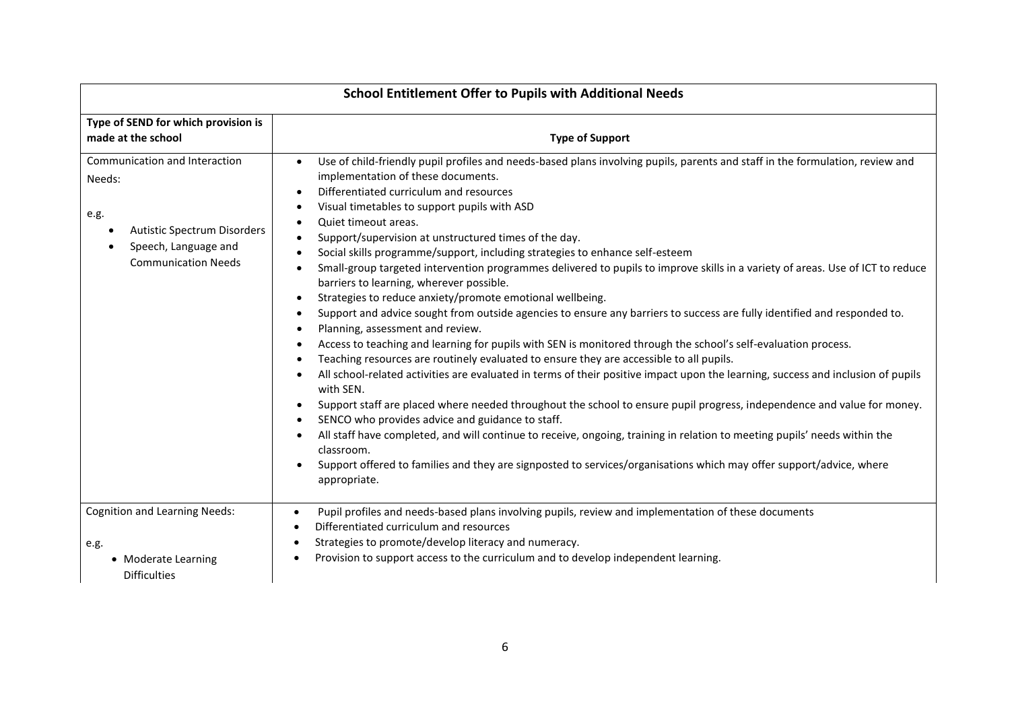| Type of SEND for which provision is<br>made at the school                                                                            | <b>Type of Support</b>                                                                                                                                                                                                                                                                                                                                                                                                                                                                                                                                                                                                                                                                                                                                                                                                                                                                                                                                                                                                                                                                                                                                                                                                                                                                                                                                                                                                                                                                                                                                                                                                                                                                 |  |  |
|--------------------------------------------------------------------------------------------------------------------------------------|----------------------------------------------------------------------------------------------------------------------------------------------------------------------------------------------------------------------------------------------------------------------------------------------------------------------------------------------------------------------------------------------------------------------------------------------------------------------------------------------------------------------------------------------------------------------------------------------------------------------------------------------------------------------------------------------------------------------------------------------------------------------------------------------------------------------------------------------------------------------------------------------------------------------------------------------------------------------------------------------------------------------------------------------------------------------------------------------------------------------------------------------------------------------------------------------------------------------------------------------------------------------------------------------------------------------------------------------------------------------------------------------------------------------------------------------------------------------------------------------------------------------------------------------------------------------------------------------------------------------------------------------------------------------------------------|--|--|
| Communication and Interaction<br>Needs:<br>e.g.<br>Autistic Spectrum Disorders<br>Speech, Language and<br><b>Communication Needs</b> | Use of child-friendly pupil profiles and needs-based plans involving pupils, parents and staff in the formulation, review and<br>$\bullet$<br>implementation of these documents.<br>Differentiated curriculum and resources<br>Visual timetables to support pupils with ASD<br>Quiet timeout areas.<br>Support/supervision at unstructured times of the day.<br>Social skills programme/support, including strategies to enhance self-esteem<br>Small-group targeted intervention programmes delivered to pupils to improve skills in a variety of areas. Use of ICT to reduce<br>barriers to learning, wherever possible.<br>Strategies to reduce anxiety/promote emotional wellbeing.<br>Support and advice sought from outside agencies to ensure any barriers to success are fully identified and responded to.<br>Planning, assessment and review.<br>Access to teaching and learning for pupils with SEN is monitored through the school's self-evaluation process.<br>Teaching resources are routinely evaluated to ensure they are accessible to all pupils.<br>All school-related activities are evaluated in terms of their positive impact upon the learning, success and inclusion of pupils<br>with SEN.<br>Support staff are placed where needed throughout the school to ensure pupil progress, independence and value for money.<br>SENCO who provides advice and guidance to staff.<br>All staff have completed, and will continue to receive, ongoing, training in relation to meeting pupils' needs within the<br>classroom.<br>Support offered to families and they are signposted to services/organisations which may offer support/advice, where<br>appropriate. |  |  |
| <b>Cognition and Learning Needs:</b><br>e.g.                                                                                         | Pupil profiles and needs-based plans involving pupils, review and implementation of these documents<br>Differentiated curriculum and resources<br>Strategies to promote/develop literacy and numeracy.                                                                                                                                                                                                                                                                                                                                                                                                                                                                                                                                                                                                                                                                                                                                                                                                                                                                                                                                                                                                                                                                                                                                                                                                                                                                                                                                                                                                                                                                                 |  |  |
| • Moderate Learning<br><b>Difficulties</b>                                                                                           | Provision to support access to the curriculum and to develop independent learning.                                                                                                                                                                                                                                                                                                                                                                                                                                                                                                                                                                                                                                                                                                                                                                                                                                                                                                                                                                                                                                                                                                                                                                                                                                                                                                                                                                                                                                                                                                                                                                                                     |  |  |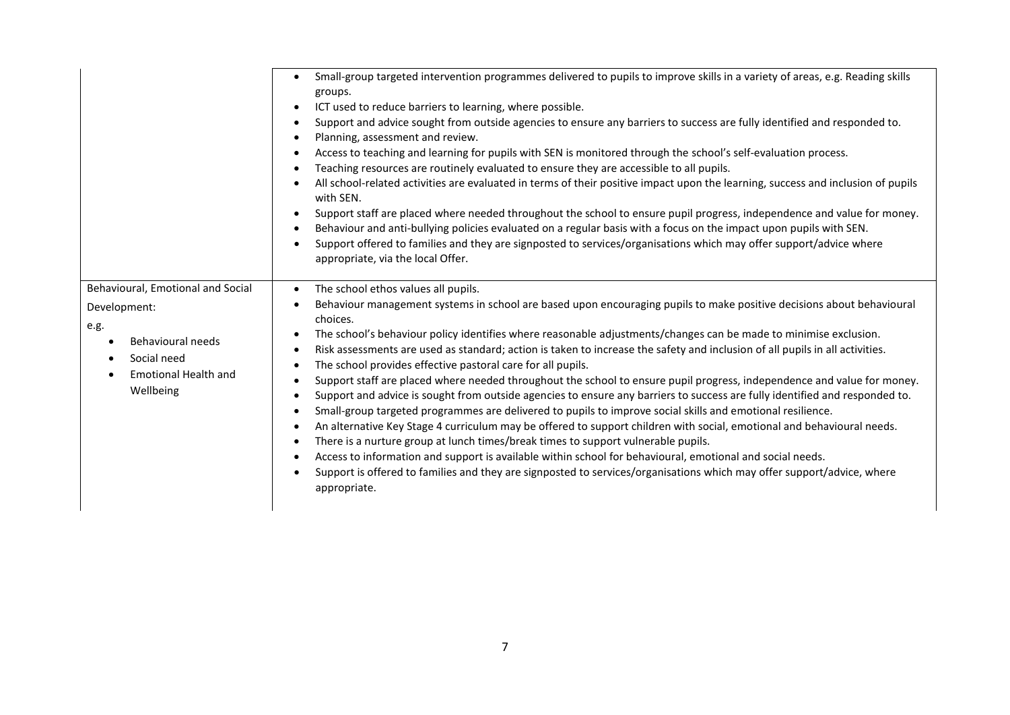|                                                                                                                                           | Small-group targeted intervention programmes delivered to pupils to improve skills in a variety of areas, e.g. Reading skills<br>groups.<br>ICT used to reduce barriers to learning, where possible.<br>$\bullet$<br>Support and advice sought from outside agencies to ensure any barriers to success are fully identified and responded to.<br>$\bullet$<br>Planning, assessment and review.<br>$\bullet$<br>Access to teaching and learning for pupils with SEN is monitored through the school's self-evaluation process.<br>٠<br>Teaching resources are routinely evaluated to ensure they are accessible to all pupils.<br>$\bullet$<br>All school-related activities are evaluated in terms of their positive impact upon the learning, success and inclusion of pupils<br>$\bullet$<br>with SEN.<br>Support staff are placed where needed throughout the school to ensure pupil progress, independence and value for money.<br>$\bullet$<br>Behaviour and anti-bullying policies evaluated on a regular basis with a focus on the impact upon pupils with SEN.<br>$\bullet$<br>Support offered to families and they are signposted to services/organisations which may offer support/advice where<br>$\bullet$<br>appropriate, via the local Offer.                                                                                                                                                                                                                           |
|-------------------------------------------------------------------------------------------------------------------------------------------|---------------------------------------------------------------------------------------------------------------------------------------------------------------------------------------------------------------------------------------------------------------------------------------------------------------------------------------------------------------------------------------------------------------------------------------------------------------------------------------------------------------------------------------------------------------------------------------------------------------------------------------------------------------------------------------------------------------------------------------------------------------------------------------------------------------------------------------------------------------------------------------------------------------------------------------------------------------------------------------------------------------------------------------------------------------------------------------------------------------------------------------------------------------------------------------------------------------------------------------------------------------------------------------------------------------------------------------------------------------------------------------------------------------------------------------------------------------------------------------|
| Behavioural, Emotional and Social<br>Development:<br>e.g.<br>Behavioural needs<br>Social need<br><b>Emotional Health and</b><br>Wellbeing | The school ethos values all pupils.<br>$\bullet$<br>Behaviour management systems in school are based upon encouraging pupils to make positive decisions about behavioural<br>$\bullet$<br>choices.<br>The school's behaviour policy identifies where reasonable adjustments/changes can be made to minimise exclusion.<br>$\bullet$<br>Risk assessments are used as standard; action is taken to increase the safety and inclusion of all pupils in all activities.<br>$\bullet$<br>The school provides effective pastoral care for all pupils.<br>$\bullet$<br>Support staff are placed where needed throughout the school to ensure pupil progress, independence and value for money.<br>O<br>Support and advice is sought from outside agencies to ensure any barriers to success are fully identified and responded to.<br>٠<br>Small-group targeted programmes are delivered to pupils to improve social skills and emotional resilience.<br>$\bullet$<br>An alternative Key Stage 4 curriculum may be offered to support children with social, emotional and behavioural needs.<br>$\bullet$<br>There is a nurture group at lunch times/break times to support vulnerable pupils.<br>$\bullet$<br>Access to information and support is available within school for behavioural, emotional and social needs.<br>$\bullet$<br>Support is offered to families and they are signposted to services/organisations which may offer support/advice, where<br>$\bullet$<br>appropriate. |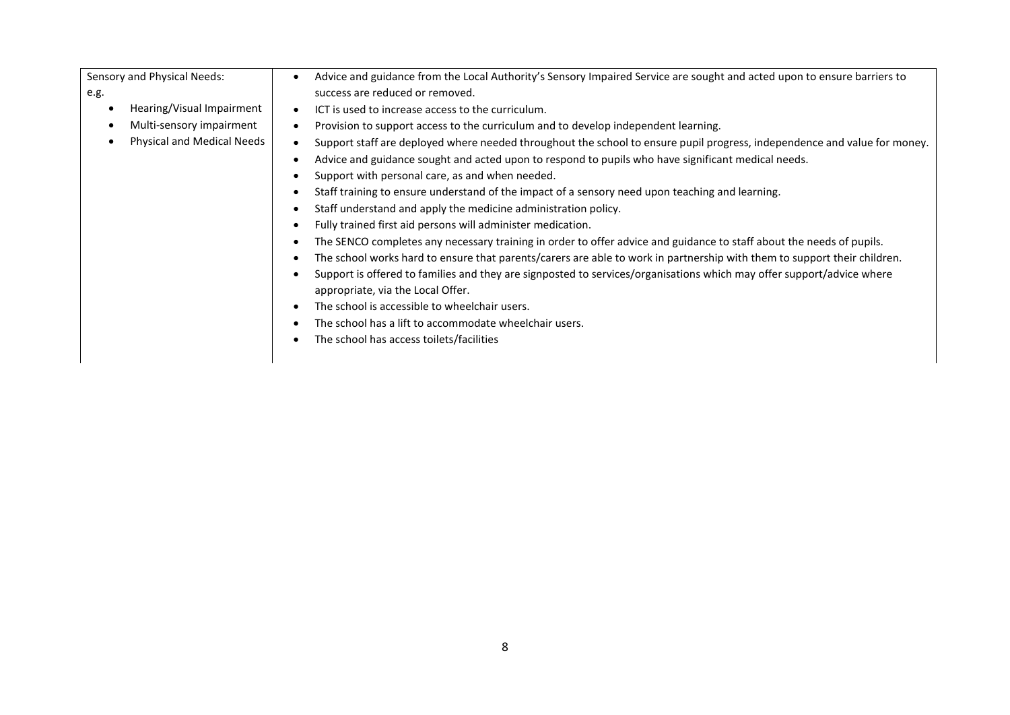Sensory and Physical Needs: e.g. • Hearing/Visual Impairment • Multi-sensory impairment • Advice and guidance from the Local Authority's Sensory Impaired Service are sought and acted upon to ensure barriers to success are reduced or removed. • ICT is used to increase access to the curriculum.

- Provision to support access to the curriculum and to develop independent learning.
- Support staff are deployed where needed throughout the school to ensure pupil progress, independence and value for money.
	- Advice and guidance sought and acted upon to respond to pupils who have significant medical needs.
	- Support with personal care, as and when needed.

• Physical and Medical Needs

- Staff training to ensure understand of the impact of a sensory need upon teaching and learning.
- Staff understand and apply the medicine administration policy.
- Fully trained first aid persons will administer medication.
- The SENCO completes any necessary training in order to offer advice and guidance to staff about the needs of pupils.
- The school works hard to ensure that parents/carers are able to work in partnership with them to support their children.
- Support is offered to families and they are signposted to services/organisations which may offer support/advice where appropriate, via the Local Offer.
- The school is accessible to wheelchair users.
- The school has a lift to accommodate wheelchair users.
- The school has access toilets/facilities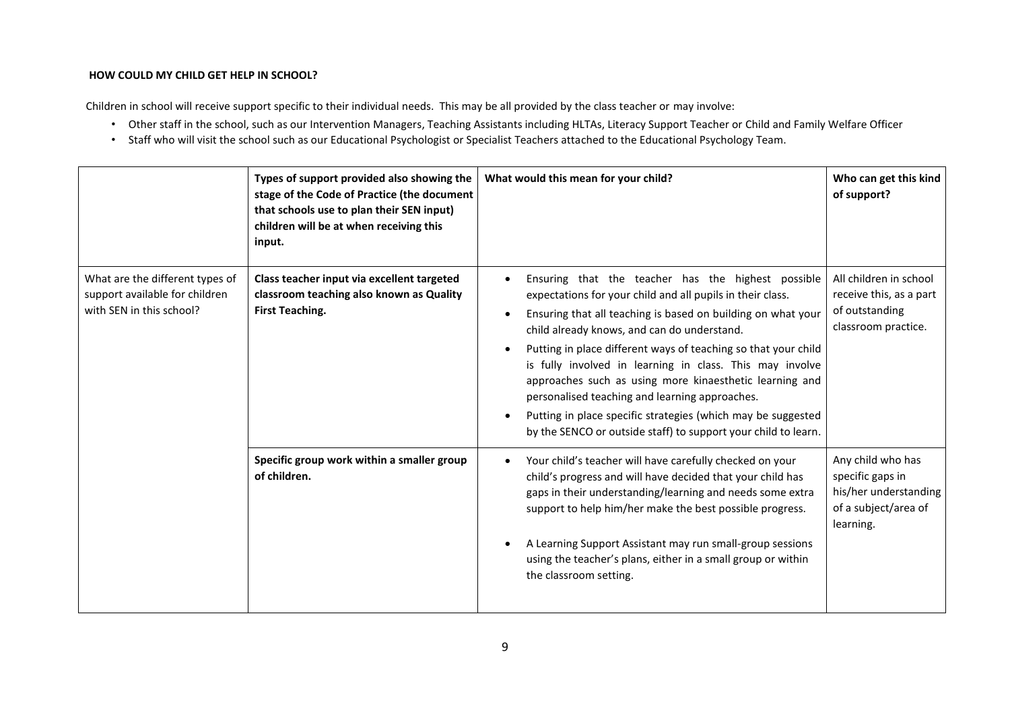#### **HOW COULD MY CHILD GET HELP IN SCHOOL?**

Children in school will receive support specific to their individual needs. This may be all provided by the class teacher or may involve:

- Other staff in the school, such as our Intervention Managers, Teaching Assistants including HLTAs, Literacy Support Teacher or Child and Family Welfare Officer
- Staff who will visit the school such as our Educational Psychologist or Specialist Teachers attached to the Educational Psychology Team.

|                                                                                               | Types of support provided also showing the<br>stage of the Code of Practice (the document<br>that schools use to plan their SEN input)<br>children will be at when receiving this<br>input. | What would this mean for your child?                                                                                                                                                                                                                                                                                                                                                                                                                                                                                                                                                                         | Who can get this kind<br>of support?                                                                |
|-----------------------------------------------------------------------------------------------|---------------------------------------------------------------------------------------------------------------------------------------------------------------------------------------------|--------------------------------------------------------------------------------------------------------------------------------------------------------------------------------------------------------------------------------------------------------------------------------------------------------------------------------------------------------------------------------------------------------------------------------------------------------------------------------------------------------------------------------------------------------------------------------------------------------------|-----------------------------------------------------------------------------------------------------|
| What are the different types of<br>support available for children<br>with SEN in this school? | Class teacher input via excellent targeted<br>classroom teaching also known as Quality<br><b>First Teaching.</b>                                                                            | Ensuring that the teacher has the highest possible<br>expectations for your child and all pupils in their class.<br>Ensuring that all teaching is based on building on what your<br>child already knows, and can do understand.<br>Putting in place different ways of teaching so that your child<br>is fully involved in learning in class. This may involve<br>approaches such as using more kinaesthetic learning and<br>personalised teaching and learning approaches.<br>Putting in place specific strategies (which may be suggested<br>by the SENCO or outside staff) to support your child to learn. | All children in school<br>receive this, as a part<br>of outstanding<br>classroom practice.          |
|                                                                                               | Specific group work within a smaller group<br>of children.                                                                                                                                  | Your child's teacher will have carefully checked on your<br>child's progress and will have decided that your child has<br>gaps in their understanding/learning and needs some extra<br>support to help him/her make the best possible progress.<br>A Learning Support Assistant may run small-group sessions<br>using the teacher's plans, either in a small group or within<br>the classroom setting.                                                                                                                                                                                                       | Any child who has<br>specific gaps in<br>his/her understanding<br>of a subject/area of<br>learning. |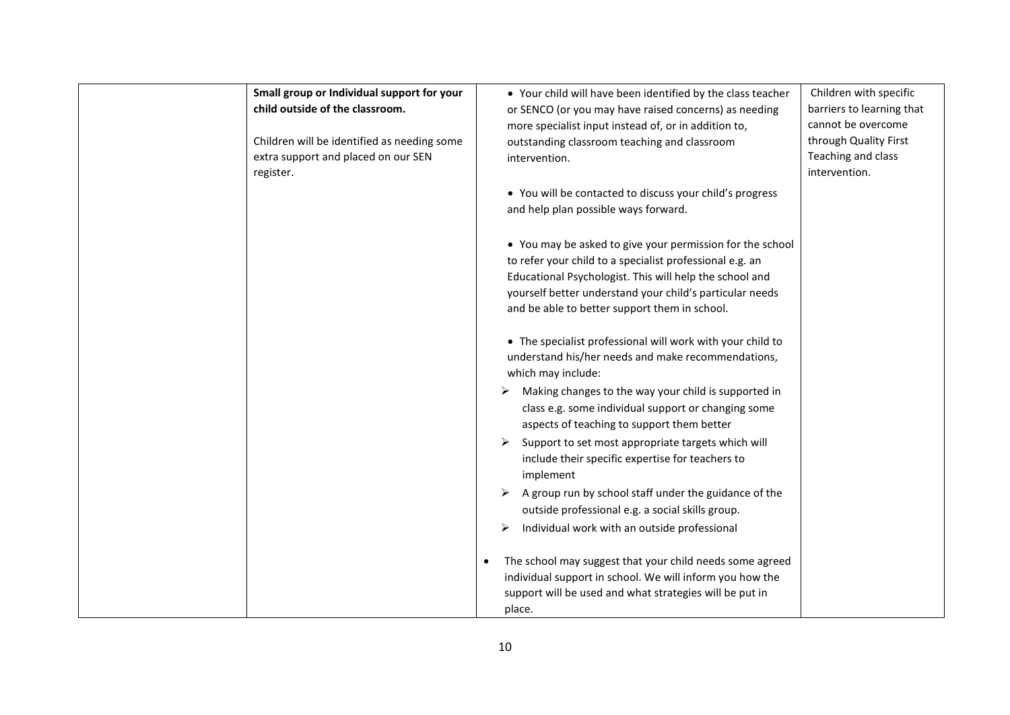| Small group or Individual support for your<br>child outside of the classroom.<br>Children will be identified as needing some<br>extra support and placed on our SEN<br>register. | • Your child will have been identified by the class teacher<br>or SENCO (or you may have raised concerns) as needing<br>more specialist input instead of, or in addition to,<br>outstanding classroom teaching and classroom<br>intervention.                                                 | Children with specific<br>barriers to learning that<br>cannot be overcome<br>through Quality First<br>Teaching and class<br>intervention. |
|----------------------------------------------------------------------------------------------------------------------------------------------------------------------------------|-----------------------------------------------------------------------------------------------------------------------------------------------------------------------------------------------------------------------------------------------------------------------------------------------|-------------------------------------------------------------------------------------------------------------------------------------------|
|                                                                                                                                                                                  | • You will be contacted to discuss your child's progress<br>and help plan possible ways forward.                                                                                                                                                                                              |                                                                                                                                           |
|                                                                                                                                                                                  | • You may be asked to give your permission for the school<br>to refer your child to a specialist professional e.g. an<br>Educational Psychologist. This will help the school and<br>yourself better understand your child's particular needs<br>and be able to better support them in school. |                                                                                                                                           |
|                                                                                                                                                                                  | • The specialist professional will work with your child to<br>understand his/her needs and make recommendations,<br>which may include:                                                                                                                                                        |                                                                                                                                           |
|                                                                                                                                                                                  | Making changes to the way your child is supported in<br>➤<br>class e.g. some individual support or changing some<br>aspects of teaching to support them better<br>Support to set most appropriate targets which will<br>include their specific expertise for teachers to                      |                                                                                                                                           |
|                                                                                                                                                                                  | implement<br>A group run by school staff under the guidance of the<br>➤<br>outside professional e.g. a social skills group.<br>Individual work with an outside professional<br>➤                                                                                                              |                                                                                                                                           |
|                                                                                                                                                                                  | The school may suggest that your child needs some agreed<br>individual support in school. We will inform you how the<br>support will be used and what strategies will be put in<br>place.                                                                                                     |                                                                                                                                           |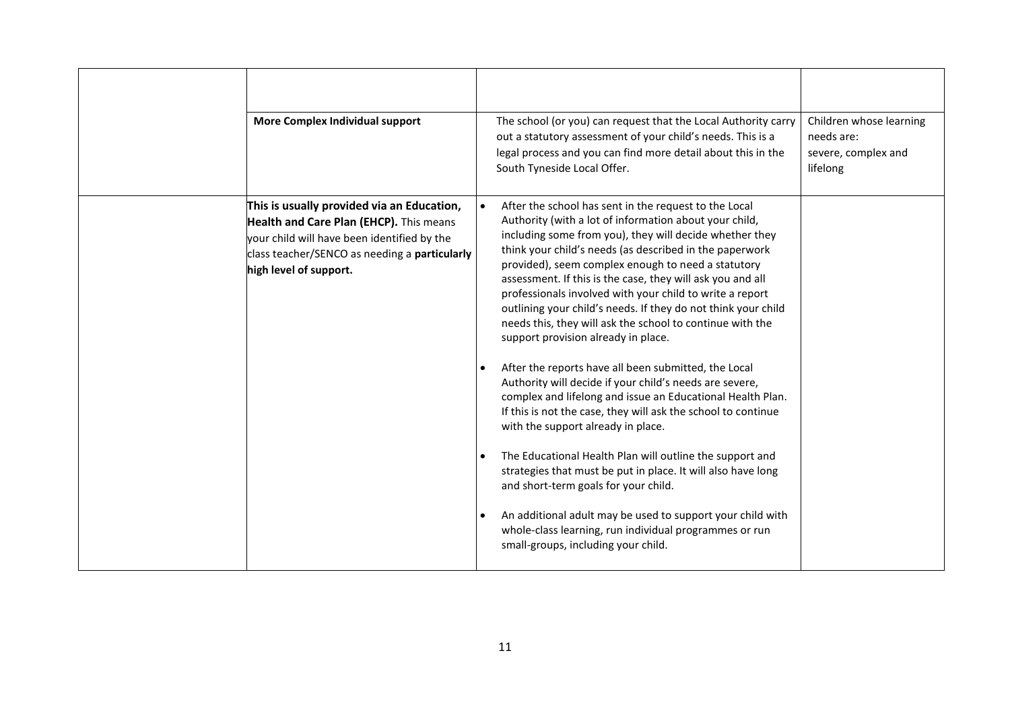| More Complex Individual support                                                                                                                                                                                 | The school (or you) can request that the Local Authority carry<br>out a statutory assessment of your child's needs. This is a<br>legal process and you can find more detail about this in the<br>South Tyneside Local Offer.                                                                                                                                                                                                                                                                                                                                                                                                                                                                                                                                                                                                                                                                                                                                                                                                                                                                                                                                                                                          | Children whose learning<br>needs are:<br>severe, complex and<br>lifelong |
|-----------------------------------------------------------------------------------------------------------------------------------------------------------------------------------------------------------------|-----------------------------------------------------------------------------------------------------------------------------------------------------------------------------------------------------------------------------------------------------------------------------------------------------------------------------------------------------------------------------------------------------------------------------------------------------------------------------------------------------------------------------------------------------------------------------------------------------------------------------------------------------------------------------------------------------------------------------------------------------------------------------------------------------------------------------------------------------------------------------------------------------------------------------------------------------------------------------------------------------------------------------------------------------------------------------------------------------------------------------------------------------------------------------------------------------------------------|--------------------------------------------------------------------------|
| This is usually provided via an Education,<br>Health and Care Plan (EHCP). This means<br>your child will have been identified by the<br>class teacher/SENCO as needing a particularly<br>high level of support. | After the school has sent in the request to the Local<br>Authority (with a lot of information about your child,<br>including some from you), they will decide whether they<br>think your child's needs (as described in the paperwork<br>provided), seem complex enough to need a statutory<br>assessment. If this is the case, they will ask you and all<br>professionals involved with your child to write a report<br>outlining your child's needs. If they do not think your child<br>needs this, they will ask the school to continue with the<br>support provision already in place.<br>After the reports have all been submitted, the Local<br>Authority will decide if your child's needs are severe,<br>complex and lifelong and issue an Educational Health Plan.<br>If this is not the case, they will ask the school to continue<br>with the support already in place.<br>The Educational Health Plan will outline the support and<br>strategies that must be put in place. It will also have long<br>and short-term goals for your child.<br>An additional adult may be used to support your child with<br>whole-class learning, run individual programmes or run<br>small-groups, including your child. |                                                                          |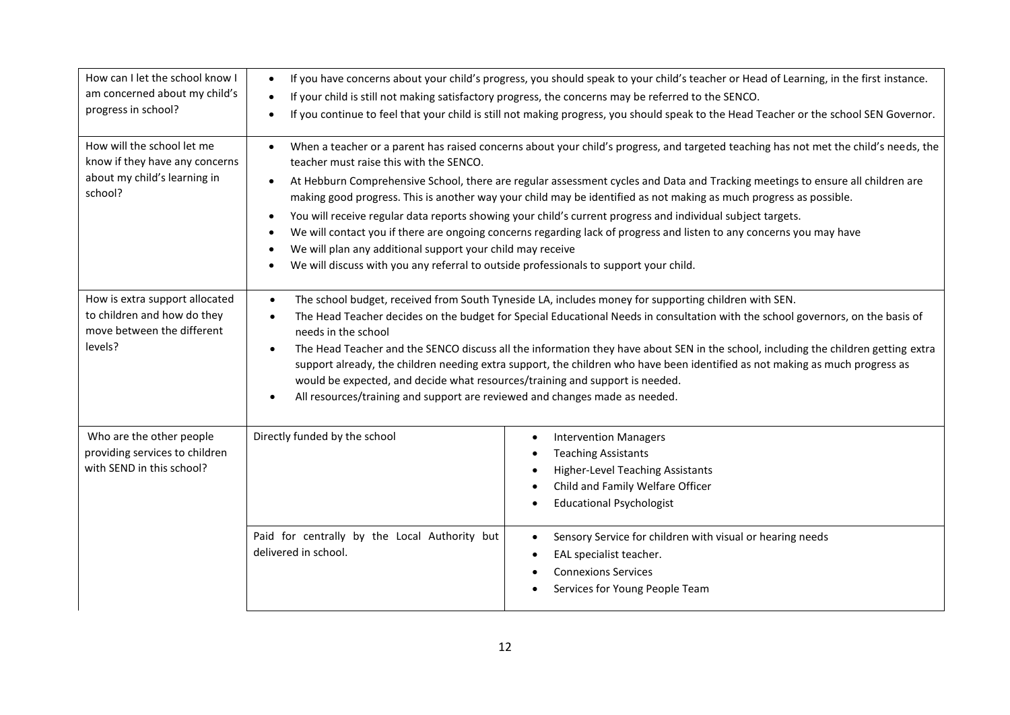| How can I let the school know I<br>am concerned about my child's<br>progress in school?                 | $\bullet$<br>$\bullet$                                                                                                                                                                                                                                                                                                                                                                                                                                                                                                                                                                                                                                                                                                                                                                                                                                          | If you have concerns about your child's progress, you should speak to your child's teacher or Head of Learning, in the first instance.<br>If your child is still not making satisfactory progress, the concerns may be referred to the SENCO.<br>If you continue to feel that your child is still not making progress, you should speak to the Head Teacher or the school SEN Governor. |  |
|---------------------------------------------------------------------------------------------------------|-----------------------------------------------------------------------------------------------------------------------------------------------------------------------------------------------------------------------------------------------------------------------------------------------------------------------------------------------------------------------------------------------------------------------------------------------------------------------------------------------------------------------------------------------------------------------------------------------------------------------------------------------------------------------------------------------------------------------------------------------------------------------------------------------------------------------------------------------------------------|-----------------------------------------------------------------------------------------------------------------------------------------------------------------------------------------------------------------------------------------------------------------------------------------------------------------------------------------------------------------------------------------|--|
| How will the school let me<br>know if they have any concerns<br>about my child's learning in<br>school? | When a teacher or a parent has raised concerns about your child's progress, and targeted teaching has not met the child's needs, the<br>$\bullet$<br>teacher must raise this with the SENCO.<br>At Hebburn Comprehensive School, there are regular assessment cycles and Data and Tracking meetings to ensure all children are<br>making good progress. This is another way your child may be identified as not making as much progress as possible.<br>You will receive regular data reports showing your child's current progress and individual subject targets.<br>$\bullet$<br>We will contact you if there are ongoing concerns regarding lack of progress and listen to any concerns you may have<br>We will plan any additional support your child may receive<br>We will discuss with you any referral to outside professionals to support your child. |                                                                                                                                                                                                                                                                                                                                                                                         |  |
| How is extra support allocated<br>to children and how do they<br>move between the different<br>levels?  | The school budget, received from South Tyneside LA, includes money for supporting children with SEN.<br>$\bullet$<br>The Head Teacher decides on the budget for Special Educational Needs in consultation with the school governors, on the basis of<br>needs in the school<br>The Head Teacher and the SENCO discuss all the information they have about SEN in the school, including the children getting extra<br>$\bullet$<br>support already, the children needing extra support, the children who have been identified as not making as much progress as<br>would be expected, and decide what resources/training and support is needed.<br>All resources/training and support are reviewed and changes made as needed.                                                                                                                                   |                                                                                                                                                                                                                                                                                                                                                                                         |  |
| Who are the other people<br>providing services to children<br>with SEND in this school?                 | Directly funded by the school                                                                                                                                                                                                                                                                                                                                                                                                                                                                                                                                                                                                                                                                                                                                                                                                                                   | <b>Intervention Managers</b><br>$\bullet$<br><b>Teaching Assistants</b><br>٠<br><b>Higher-Level Teaching Assistants</b><br>$\bullet$<br>Child and Family Welfare Officer<br>$\bullet$<br><b>Educational Psychologist</b>                                                                                                                                                                |  |
|                                                                                                         | Paid for centrally by the Local Authority but<br>delivered in school.                                                                                                                                                                                                                                                                                                                                                                                                                                                                                                                                                                                                                                                                                                                                                                                           | Sensory Service for children with visual or hearing needs<br>$\bullet$<br>EAL specialist teacher.<br><b>Connexions Services</b><br>Services for Young People Team                                                                                                                                                                                                                       |  |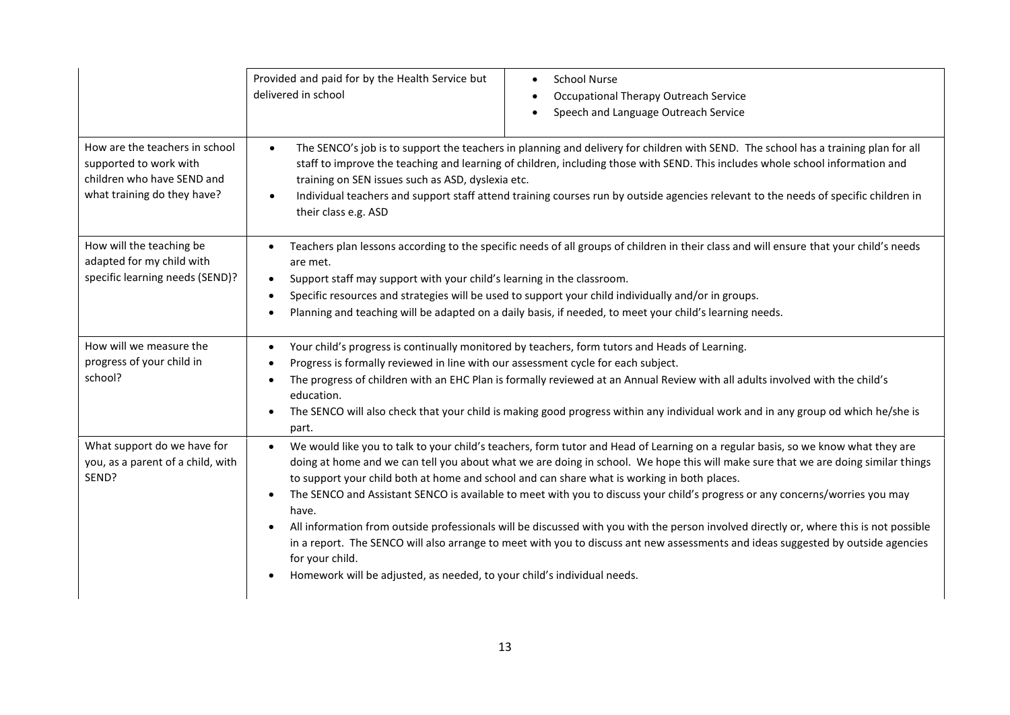|                                                                                                                       | Provided and paid for by the Health Service but<br>delivered in school                                                                                                                                                                                                                                                                                                                                                                                                                                                                                                                                                                                                                                                                                                                                                                                                                                 | <b>School Nurse</b><br>Occupational Therapy Outreach Service<br>٠<br>Speech and Language Outreach Service |  |
|-----------------------------------------------------------------------------------------------------------------------|--------------------------------------------------------------------------------------------------------------------------------------------------------------------------------------------------------------------------------------------------------------------------------------------------------------------------------------------------------------------------------------------------------------------------------------------------------------------------------------------------------------------------------------------------------------------------------------------------------------------------------------------------------------------------------------------------------------------------------------------------------------------------------------------------------------------------------------------------------------------------------------------------------|-----------------------------------------------------------------------------------------------------------|--|
| How are the teachers in school<br>supported to work with<br>children who have SEND and<br>what training do they have? | The SENCO's job is to support the teachers in planning and delivery for children with SEND. The school has a training plan for all<br>$\bullet$<br>staff to improve the teaching and learning of children, including those with SEND. This includes whole school information and<br>training on SEN issues such as ASD, dyslexia etc.<br>Individual teachers and support staff attend training courses run by outside agencies relevant to the needs of specific children in<br>$\bullet$<br>their class e.g. ASD                                                                                                                                                                                                                                                                                                                                                                                      |                                                                                                           |  |
| How will the teaching be<br>adapted for my child with<br>specific learning needs (SEND)?                              | Teachers plan lessons according to the specific needs of all groups of children in their class and will ensure that your child's needs<br>are met.<br>Support staff may support with your child's learning in the classroom.<br>$\bullet$<br>Specific resources and strategies will be used to support your child individually and/or in groups.<br>$\bullet$<br>Planning and teaching will be adapted on a daily basis, if needed, to meet your child's learning needs.<br>$\bullet$                                                                                                                                                                                                                                                                                                                                                                                                                  |                                                                                                           |  |
| How will we measure the<br>progress of your child in<br>school?                                                       | Your child's progress is continually monitored by teachers, form tutors and Heads of Learning.<br>$\bullet$<br>Progress is formally reviewed in line with our assessment cycle for each subject.<br>$\bullet$<br>The progress of children with an EHC Plan is formally reviewed at an Annual Review with all adults involved with the child's<br>$\bullet$<br>education.<br>The SENCO will also check that your child is making good progress within any individual work and in any group od which he/she is<br>part.                                                                                                                                                                                                                                                                                                                                                                                  |                                                                                                           |  |
| What support do we have for<br>you, as a parent of a child, with<br>SEND?                                             | We would like you to talk to your child's teachers, form tutor and Head of Learning on a regular basis, so we know what they are<br>doing at home and we can tell you about what we are doing in school. We hope this will make sure that we are doing similar things<br>to support your child both at home and school and can share what is working in both places.<br>The SENCO and Assistant SENCO is available to meet with you to discuss your child's progress or any concerns/worries you may<br>$\bullet$<br>have.<br>All information from outside professionals will be discussed with you with the person involved directly or, where this is not possible<br>in a report. The SENCO will also arrange to meet with you to discuss ant new assessments and ideas suggested by outside agencies<br>for your child.<br>Homework will be adjusted, as needed, to your child's individual needs. |                                                                                                           |  |